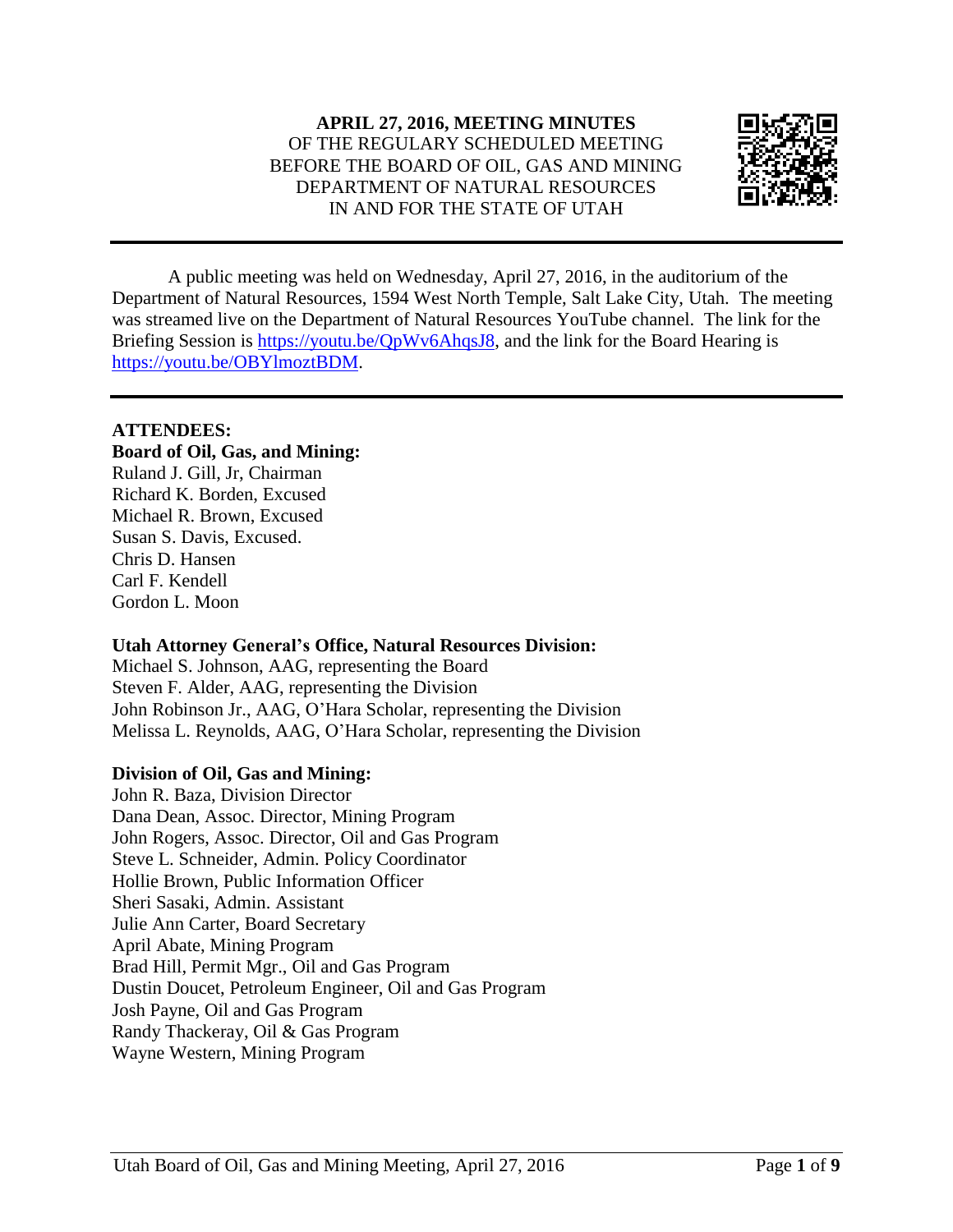

A public meeting was held on Wednesday, April 27, 2016, in the auditorium of the Department of Natural Resources, 1594 West North Temple, Salt Lake City, Utah. The meeting was streamed live on the Department of Natural Resources YouTube channel. The link for the Briefing Session is [https://youtu.be/QpWv6AhqsJ8,](https://youtu.be/QpWv6AhqsJ8) and the link for the Board Hearing is [https://youtu.be/OBYlmoztBDM.](https://youtu.be/OBYlmoztBDM)

## **ATTENDEES:**

## **Board of Oil, Gas, and Mining:**

Ruland J. Gill, Jr, Chairman Richard K. Borden, Excused Michael R. Brown, Excused Susan S. Davis, Excused. Chris D. Hansen Carl F. Kendell Gordon L. Moon

## **Utah Attorney General's Office, Natural Resources Division:**

Michael S. Johnson, AAG, representing the Board Steven F. Alder, AAG, representing the Division John Robinson Jr., AAG, O'Hara Scholar, representing the Division Melissa L. Reynolds, AAG, O'Hara Scholar, representing the Division

## **Division of Oil, Gas and Mining:**

John R. Baza, Division Director Dana Dean, Assoc. Director, Mining Program John Rogers, Assoc. Director, Oil and Gas Program Steve L. Schneider, Admin. Policy Coordinator Hollie Brown, Public Information Officer Sheri Sasaki, Admin. Assistant Julie Ann Carter, Board Secretary April Abate, Mining Program Brad Hill, Permit Mgr., Oil and Gas Program Dustin Doucet, Petroleum Engineer, Oil and Gas Program Josh Payne, Oil and Gas Program Randy Thackeray, Oil & Gas Program Wayne Western, Mining Program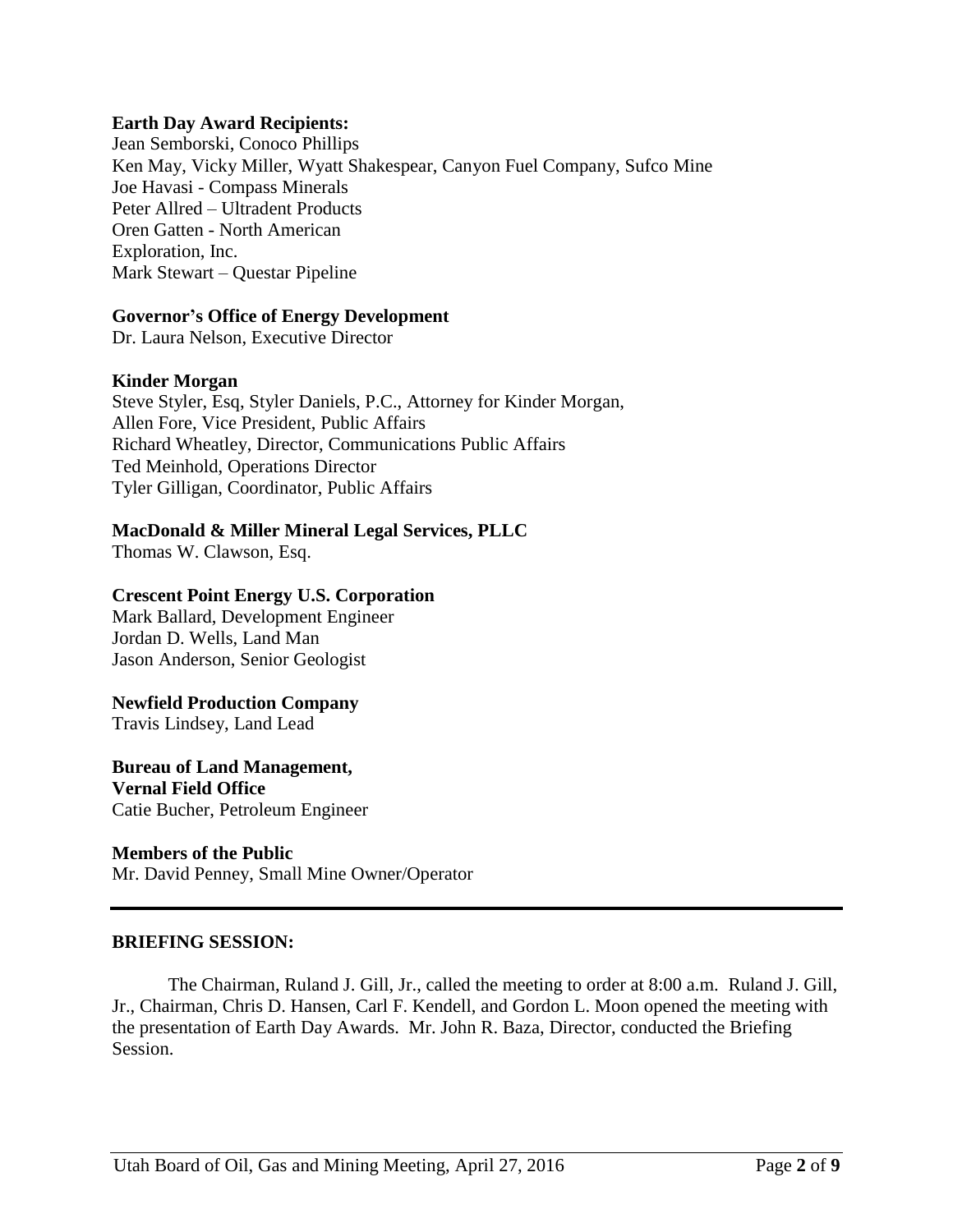#### **Earth Day Award Recipients:**

Jean Semborski, Conoco Phillips Ken May, Vicky Miller, Wyatt Shakespear, Canyon Fuel Company, Sufco Mine Joe Havasi - Compass Minerals Peter Allred – Ultradent Products Oren Gatten - North American Exploration, Inc. Mark Stewart – Questar Pipeline

#### **Governor's Office of Energy Development**

Dr. Laura Nelson, Executive Director

## **Kinder Morgan**

Steve Styler, Esq, Styler Daniels, P.C., Attorney for Kinder Morgan, Allen Fore, Vice President, Public Affairs Richard Wheatley, Director, Communications Public Affairs Ted Meinhold, Operations Director Tyler Gilligan, Coordinator, Public Affairs

## **MacDonald & Miller Mineral Legal Services, PLLC**

Thomas W. Clawson, Esq.

## **Crescent Point Energy U.S. Corporation**

Mark Ballard, Development Engineer Jordan D. Wells, Land Man Jason Anderson, Senior Geologist

#### **Newfield Production Company**

Travis Lindsey, Land Lead

## **Bureau of Land Management,**

**Vernal Field Office** Catie Bucher, Petroleum Engineer

#### **Members of the Public**

Mr. David Penney, Small Mine Owner/Operator

#### **BRIEFING SESSION:**

The Chairman, Ruland J. Gill, Jr., called the meeting to order at 8:00 a.m. Ruland J. Gill, Jr., Chairman, Chris D. Hansen, Carl F. Kendell, and Gordon L. Moon opened the meeting with the presentation of Earth Day Awards. Mr. John R. Baza, Director, conducted the Briefing Session.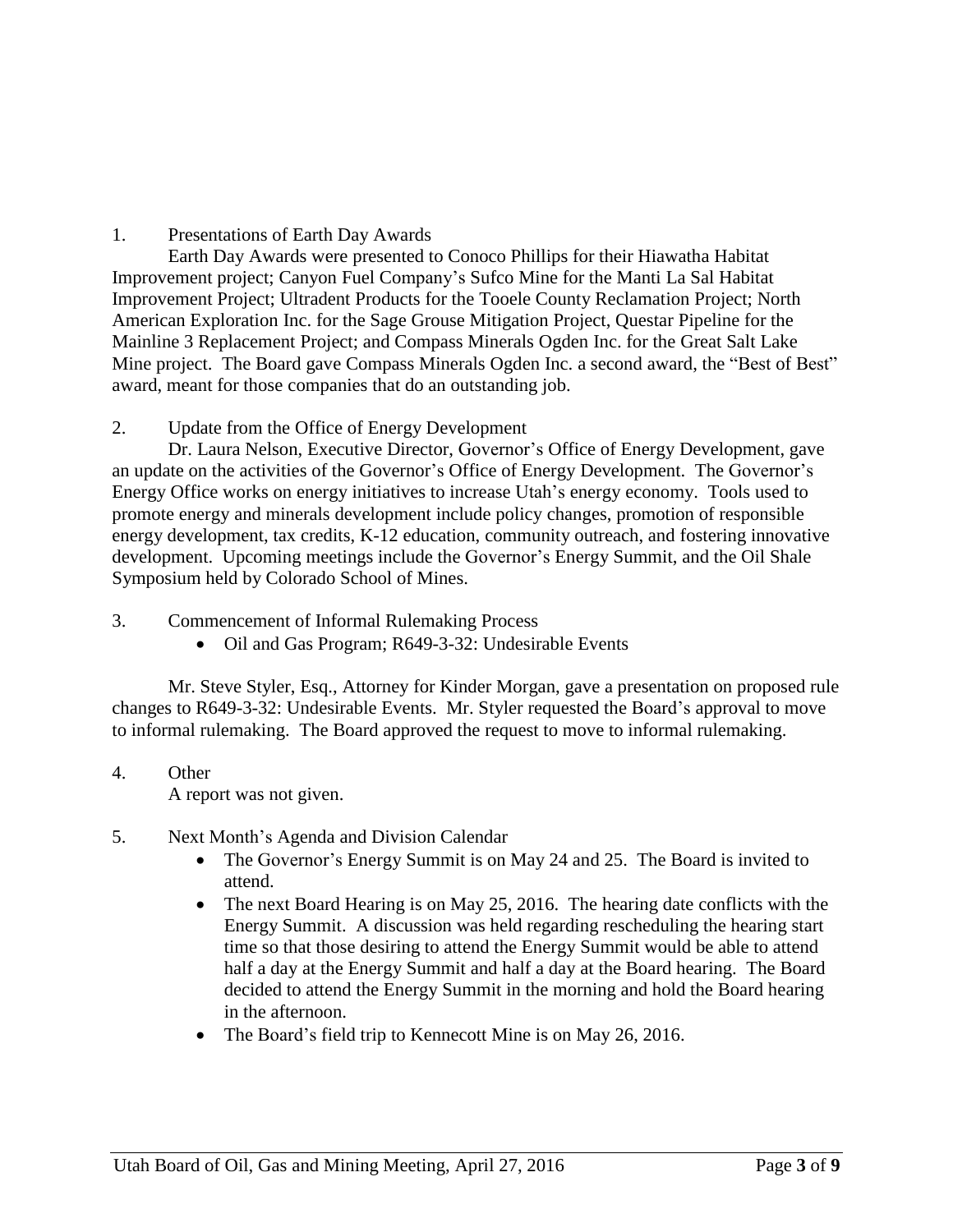# 1. Presentations of Earth Day Awards

Earth Day Awards were presented to Conoco Phillips for their Hiawatha Habitat Improvement project; Canyon Fuel Company's Sufco Mine for the Manti La Sal Habitat Improvement Project; Ultradent Products for the Tooele County Reclamation Project; North American Exploration Inc. for the Sage Grouse Mitigation Project, Questar Pipeline for the Mainline 3 Replacement Project; and Compass Minerals Ogden Inc. for the Great Salt Lake Mine project. The Board gave Compass Minerals Ogden Inc. a second award, the "Best of Best" award, meant for those companies that do an outstanding job.

2. Update from the Office of Energy Development

Dr. Laura Nelson, Executive Director, Governor's Office of Energy Development, gave an update on the activities of the Governor's Office of Energy Development. The Governor's Energy Office works on energy initiatives to increase Utah's energy economy. Tools used to promote energy and minerals development include policy changes, promotion of responsible energy development, tax credits, K-12 education, community outreach, and fostering innovative development. Upcoming meetings include the Governor's Energy Summit, and the Oil Shale Symposium held by Colorado School of Mines.

3. Commencement of Informal Rulemaking Process

• Oil and Gas Program; R649-3-32: Undesirable Events

Mr. Steve Styler, Esq., Attorney for Kinder Morgan, gave a presentation on proposed rule changes to R649-3-32: Undesirable Events. Mr. Styler requested the Board's approval to move to informal rulemaking. The Board approved the request to move to informal rulemaking.

# 4. Other

A report was not given.

- 5. Next Month's Agenda and Division Calendar
	- The Governor's Energy Summit is on May 24 and 25. The Board is invited to attend.
	- The next Board Hearing is on May 25, 2016. The hearing date conflicts with the Energy Summit. A discussion was held regarding rescheduling the hearing start time so that those desiring to attend the Energy Summit would be able to attend half a day at the Energy Summit and half a day at the Board hearing. The Board decided to attend the Energy Summit in the morning and hold the Board hearing in the afternoon.
	- The Board's field trip to Kennecott Mine is on May 26, 2016.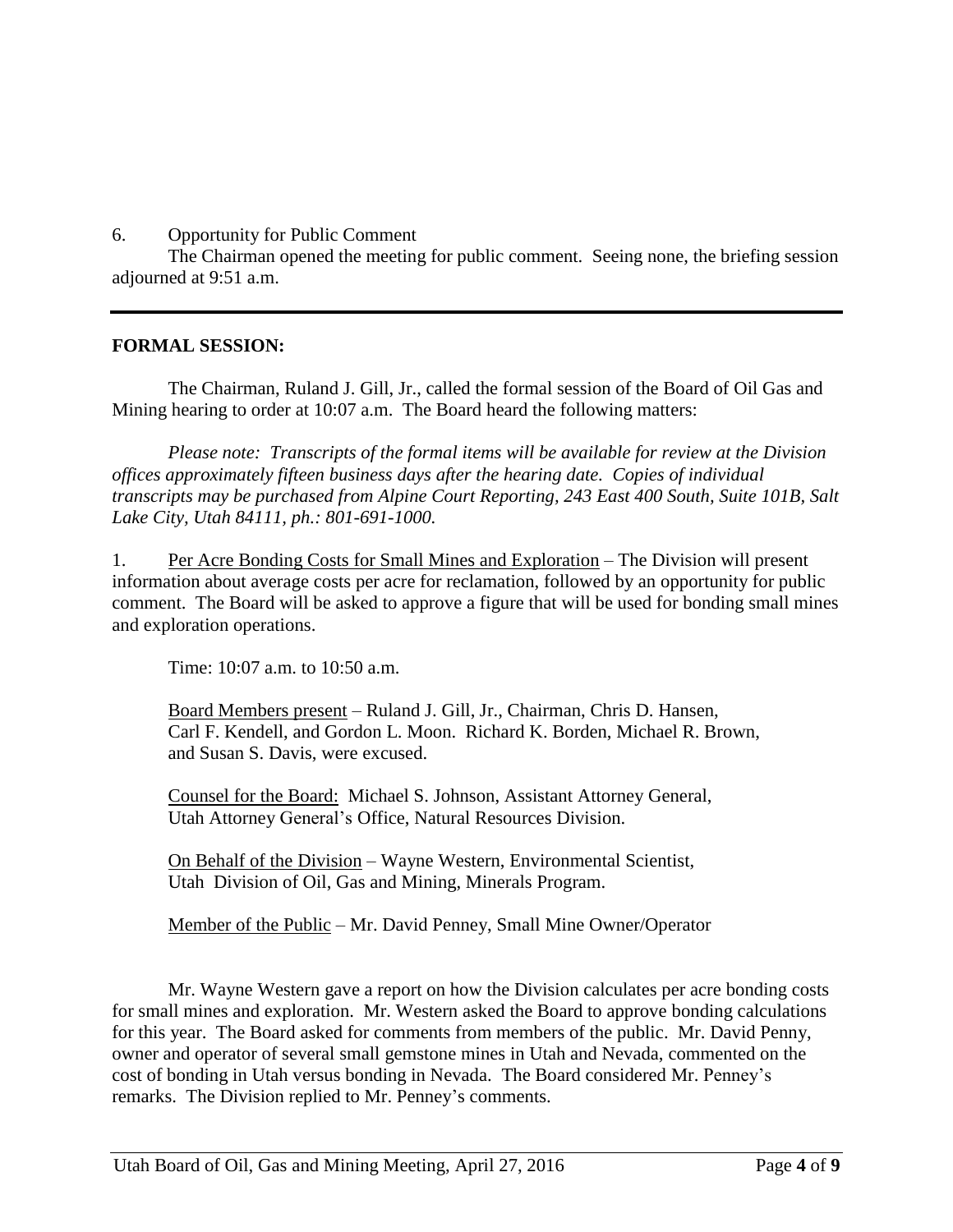6. Opportunity for Public Comment

The Chairman opened the meeting for public comment. Seeing none, the briefing session adjourned at 9:51 a.m.

# **FORMAL SESSION:**

The Chairman, Ruland J. Gill, Jr., called the formal session of the Board of Oil Gas and Mining hearing to order at 10:07 a.m. The Board heard the following matters:

*Please note: Transcripts of the formal items will be available for review at the Division offices approximately fifteen business days after the hearing date. Copies of individual transcripts may be purchased from Alpine Court Reporting, 243 East 400 South, Suite 101B, Salt Lake City, Utah 84111, ph.: 801-691-1000.*

1. Per Acre Bonding Costs for Small Mines and Exploration – The Division will present information about average costs per acre for reclamation, followed by an opportunity for public comment. The Board will be asked to approve a figure that will be used for bonding small mines and exploration operations.

Time: 10:07 a.m. to 10:50 a.m.

Board Members present – Ruland J. Gill, Jr., Chairman, Chris D. Hansen, Carl F. Kendell, and Gordon L. Moon. Richard K. Borden, Michael R. Brown, and Susan S. Davis, were excused.

Counsel for the Board: Michael S. Johnson, Assistant Attorney General, Utah Attorney General's Office, Natural Resources Division.

On Behalf of the Division – Wayne Western, Environmental Scientist, Utah Division of Oil, Gas and Mining, Minerals Program.

Member of the Public – Mr. David Penney, Small Mine Owner/Operator

Mr. Wayne Western gave a report on how the Division calculates per acre bonding costs for small mines and exploration. Mr. Western asked the Board to approve bonding calculations for this year. The Board asked for comments from members of the public. Mr. David Penny, owner and operator of several small gemstone mines in Utah and Nevada, commented on the cost of bonding in Utah versus bonding in Nevada. The Board considered Mr. Penney's remarks. The Division replied to Mr. Penney's comments.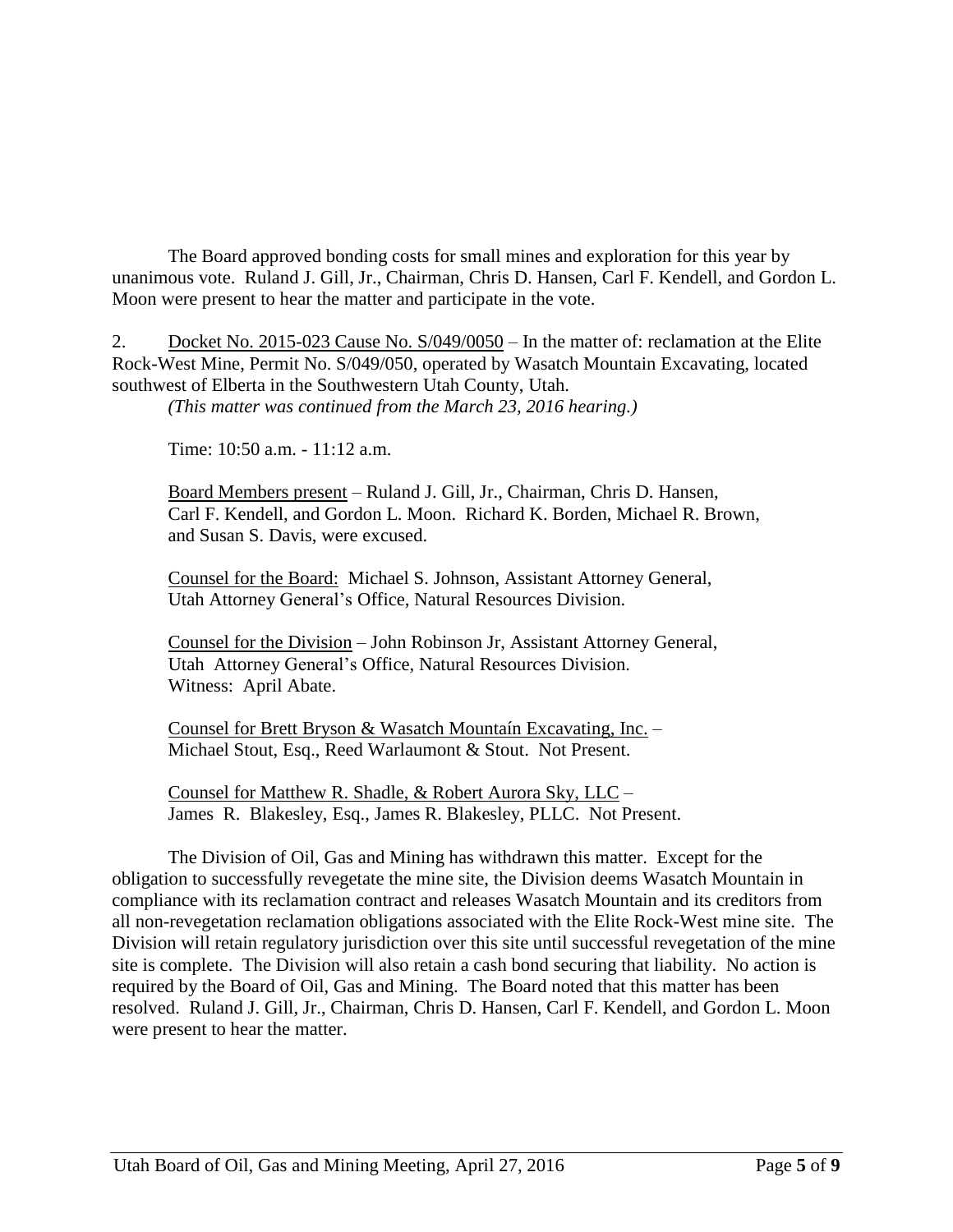The Board approved bonding costs for small mines and exploration for this year by unanimous vote. Ruland J. Gill, Jr., Chairman, Chris D. Hansen, Carl F. Kendell, and Gordon L. Moon were present to hear the matter and participate in the vote.

2. Docket No. 2015-023 Cause No. S/049/0050 – In the matter of: reclamation at the Elite Rock-West Mine, Permit No. S/049/050, operated by Wasatch Mountain Excavating, located southwest of Elberta in the Southwestern Utah County, Utah.

*(This matter was continued from the March 23, 2016 hearing.)*

Time: 10:50 a.m. - 11:12 a.m.

Board Members present – Ruland J. Gill, Jr., Chairman, Chris D. Hansen, Carl F. Kendell, and Gordon L. Moon. Richard K. Borden, Michael R. Brown, and Susan S. Davis, were excused.

Counsel for the Board: Michael S. Johnson, Assistant Attorney General, Utah Attorney General's Office, Natural Resources Division.

Counsel for the Division – John Robinson Jr, Assistant Attorney General, Utah Attorney General's Office, Natural Resources Division. Witness: April Abate.

Counsel for Brett Bryson & Wasatch Mountaín Excavating, Inc. – Michael Stout, Esq., Reed Warlaumont & Stout. Not Present.

Counsel for Matthew R. Shadle, & Robert Aurora Sky, LLC – James R. Blakesley, Esq., James R. Blakesley, PLLC. Not Present.

The Division of Oil, Gas and Mining has withdrawn this matter. Except for the obligation to successfully revegetate the mine site, the Division deems Wasatch Mountain in compliance with its reclamation contract and releases Wasatch Mountain and its creditors from all non-revegetation reclamation obligations associated with the Elite Rock-West mine site. The Division will retain regulatory jurisdiction over this site until successful revegetation of the mine site is complete. The Division will also retain a cash bond securing that liability. No action is required by the Board of Oil, Gas and Mining. The Board noted that this matter has been resolved. Ruland J. Gill, Jr., Chairman, Chris D. Hansen, Carl F. Kendell, and Gordon L. Moon were present to hear the matter.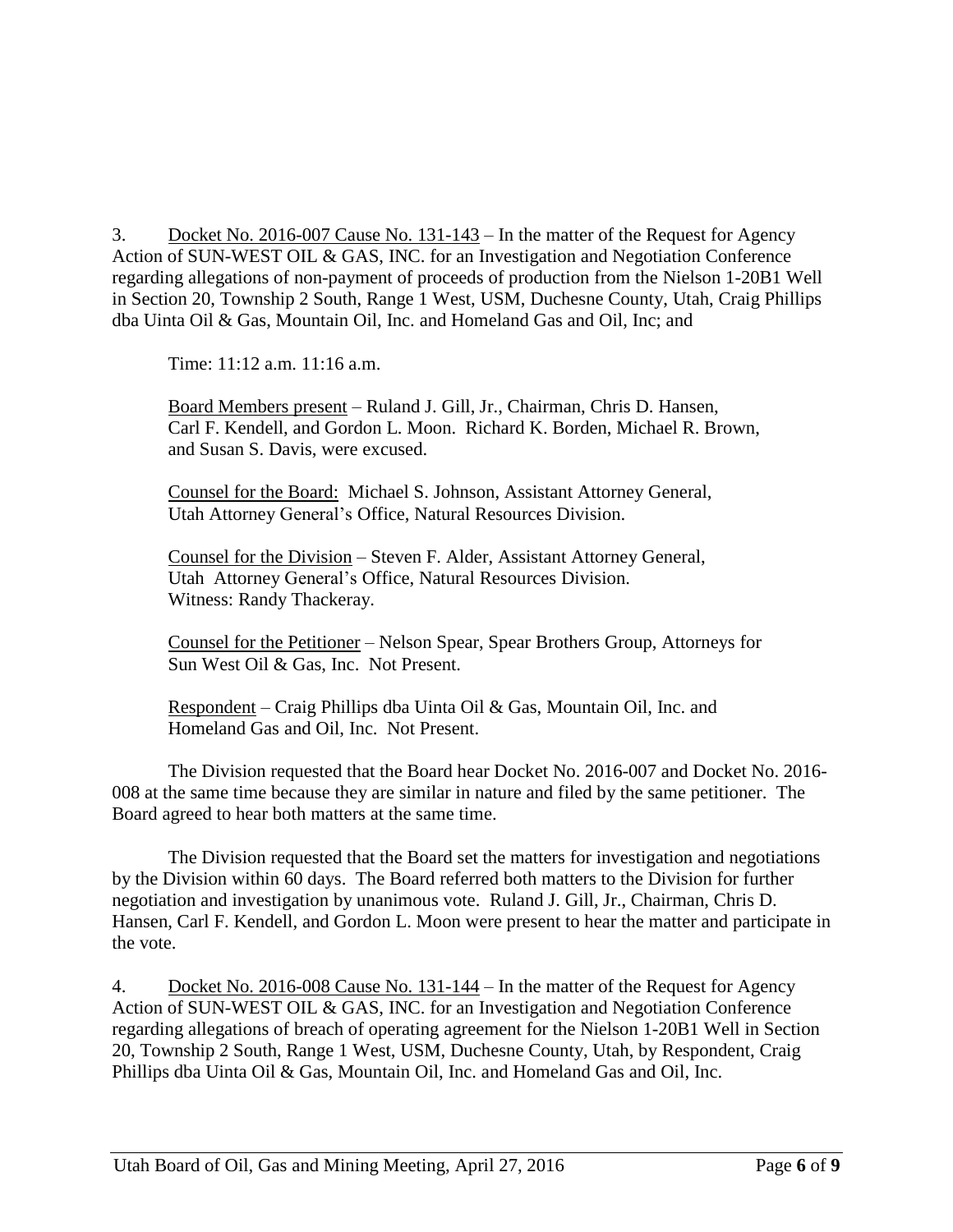3. Docket No. 2016-007 Cause No. 131-143 – In the matter of the Request for Agency Action of SUN-WEST OIL & GAS, INC. for an Investigation and Negotiation Conference regarding allegations of non-payment of proceeds of production from the Nielson 1-20B1 Well in Section 20, Township 2 South, Range 1 West, USM, Duchesne County, Utah, Craig Phillips dba Uinta Oil & Gas, Mountain Oil, Inc. and Homeland Gas and Oil, Inc; and

Time: 11:12 a.m. 11:16 a.m.

Board Members present – Ruland J. Gill, Jr., Chairman, Chris D. Hansen, Carl F. Kendell, and Gordon L. Moon. Richard K. Borden, Michael R. Brown, and Susan S. Davis, were excused.

Counsel for the Board: Michael S. Johnson, Assistant Attorney General, Utah Attorney General's Office, Natural Resources Division.

Counsel for the Division – Steven F. Alder, Assistant Attorney General, Utah Attorney General's Office, Natural Resources Division. Witness: Randy Thackeray.

Counsel for the Petitioner – Nelson Spear, Spear Brothers Group, Attorneys for Sun West Oil & Gas, Inc. Not Present.

Respondent – Craig Phillips dba Uinta Oil & Gas, Mountain Oil, Inc. and Homeland Gas and Oil, Inc. Not Present.

The Division requested that the Board hear Docket No. 2016-007 and Docket No. 2016- 008 at the same time because they are similar in nature and filed by the same petitioner. The Board agreed to hear both matters at the same time.

The Division requested that the Board set the matters for investigation and negotiations by the Division within 60 days. The Board referred both matters to the Division for further negotiation and investigation by unanimous vote. Ruland J. Gill, Jr., Chairman, Chris D. Hansen, Carl F. Kendell, and Gordon L. Moon were present to hear the matter and participate in the vote.

4. Docket No. 2016-008 Cause No. 131-144 – In the matter of the Request for Agency Action of SUN-WEST OIL & GAS, INC. for an Investigation and Negotiation Conference regarding allegations of breach of operating agreement for the Nielson 1-20B1 Well in Section 20, Township 2 South, Range 1 West, USM, Duchesne County, Utah, by Respondent, Craig Phillips dba Uinta Oil & Gas, Mountain Oil, Inc. and Homeland Gas and Oil, Inc.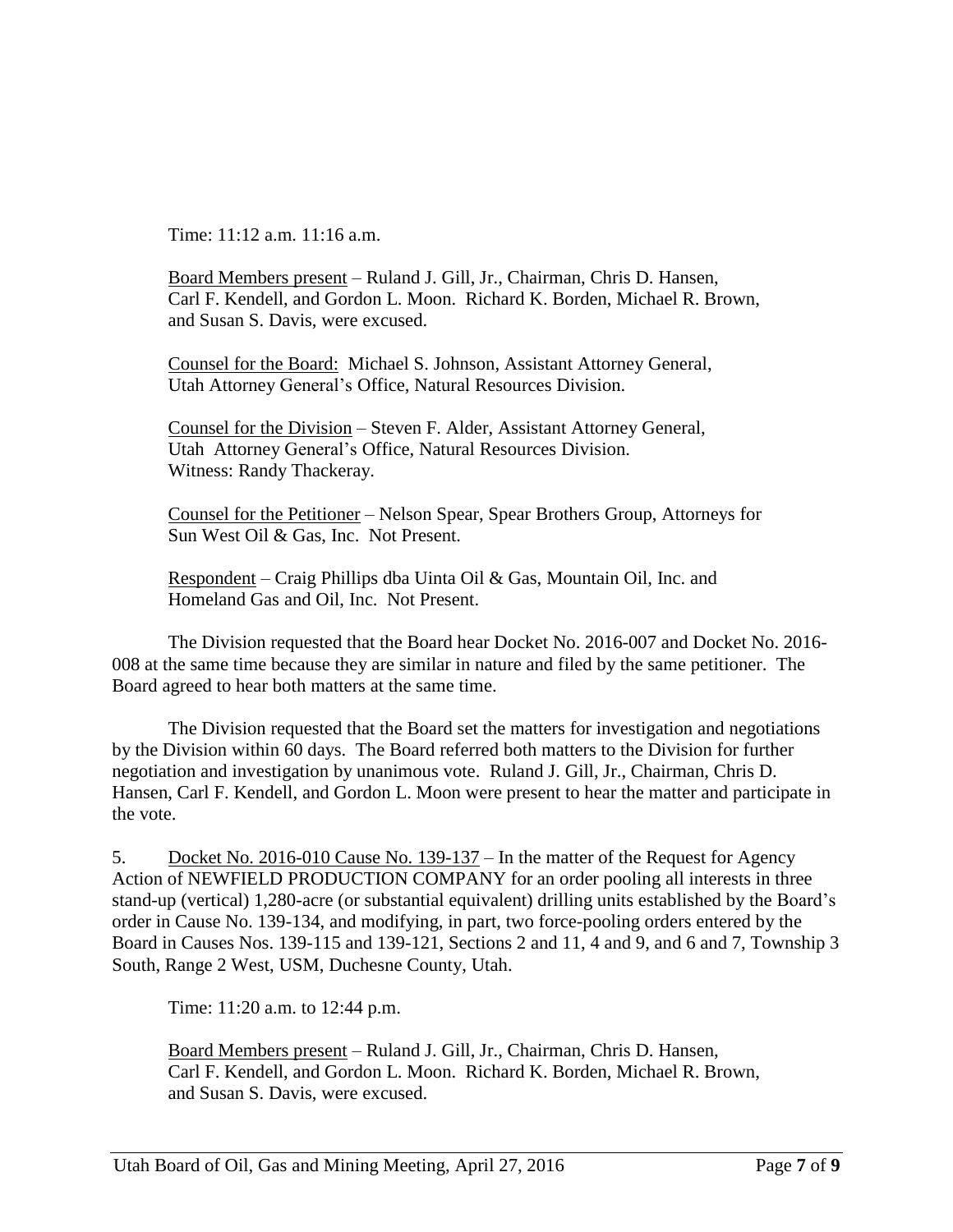Time: 11:12 a.m. 11:16 a.m.

Board Members present – Ruland J. Gill, Jr., Chairman, Chris D. Hansen, Carl F. Kendell, and Gordon L. Moon. Richard K. Borden, Michael R. Brown, and Susan S. Davis, were excused.

Counsel for the Board: Michael S. Johnson, Assistant Attorney General, Utah Attorney General's Office, Natural Resources Division.

Counsel for the Division – Steven F. Alder, Assistant Attorney General, Utah Attorney General's Office, Natural Resources Division. Witness: Randy Thackeray.

Counsel for the Petitioner – Nelson Spear, Spear Brothers Group, Attorneys for Sun West Oil & Gas, Inc. Not Present.

Respondent – Craig Phillips dba Uinta Oil & Gas, Mountain Oil, Inc. and Homeland Gas and Oil, Inc. Not Present.

The Division requested that the Board hear Docket No. 2016-007 and Docket No. 2016- 008 at the same time because they are similar in nature and filed by the same petitioner. The Board agreed to hear both matters at the same time.

The Division requested that the Board set the matters for investigation and negotiations by the Division within 60 days. The Board referred both matters to the Division for further negotiation and investigation by unanimous vote. Ruland J. Gill, Jr., Chairman, Chris D. Hansen, Carl F. Kendell, and Gordon L. Moon were present to hear the matter and participate in the vote.

5. Docket No. 2016-010 Cause No. 139-137 – In the matter of the Request for Agency Action of NEWFIELD PRODUCTION COMPANY for an order pooling all interests in three stand-up (vertical) 1,280-acre (or substantial equivalent) drilling units established by the Board's order in Cause No. 139-134, and modifying, in part, two force-pooling orders entered by the Board in Causes Nos. 139-115 and 139-121, Sections 2 and 11, 4 and 9, and 6 and 7, Township 3 South, Range 2 West, USM, Duchesne County, Utah.

Time: 11:20 a.m. to 12:44 p.m.

Board Members present – Ruland J. Gill, Jr., Chairman, Chris D. Hansen, Carl F. Kendell, and Gordon L. Moon. Richard K. Borden, Michael R. Brown, and Susan S. Davis, were excused.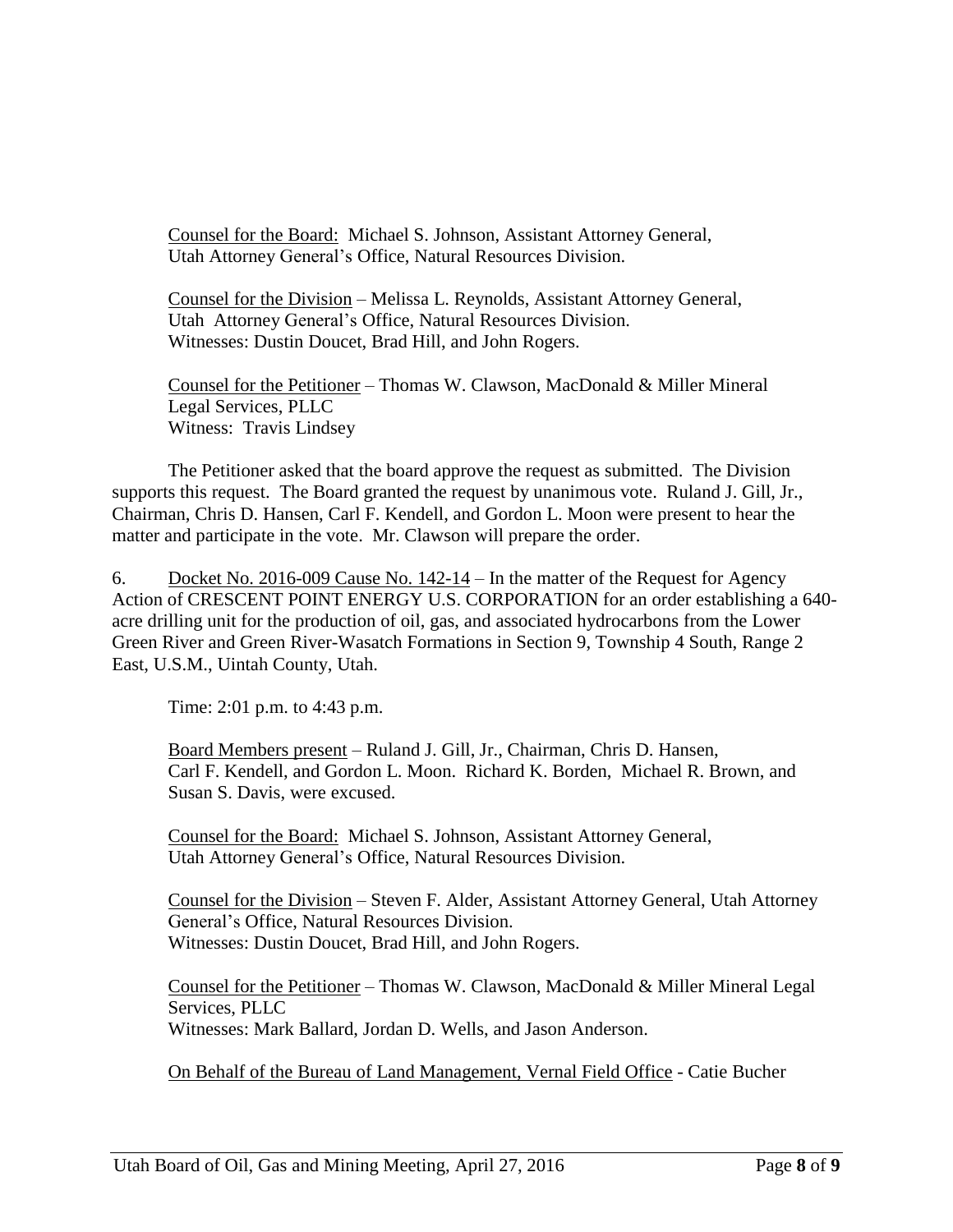Counsel for the Board: Michael S. Johnson, Assistant Attorney General, Utah Attorney General's Office, Natural Resources Division.

Counsel for the Division – Melissa L. Reynolds, Assistant Attorney General, Utah Attorney General's Office, Natural Resources Division. Witnesses: Dustin Doucet, Brad Hill, and John Rogers.

Counsel for the Petitioner – Thomas W. Clawson, MacDonald & Miller Mineral Legal Services, PLLC Witness: Travis Lindsey

The Petitioner asked that the board approve the request as submitted. The Division supports this request. The Board granted the request by unanimous vote. Ruland J. Gill, Jr., Chairman, Chris D. Hansen, Carl F. Kendell, and Gordon L. Moon were present to hear the matter and participate in the vote. Mr. Clawson will prepare the order.

6. Docket No. 2016-009 Cause No.  $142-14$  – In the matter of the Request for Agency Action of CRESCENT POINT ENERGY U.S. CORPORATION for an order establishing a 640 acre drilling unit for the production of oil, gas, and associated hydrocarbons from the Lower Green River and Green River-Wasatch Formations in Section 9, Township 4 South, Range 2 East, U.S.M., Uintah County, Utah.

Time: 2:01 p.m. to 4:43 p.m.

Board Members present – Ruland J. Gill, Jr., Chairman, Chris D. Hansen, Carl F. Kendell, and Gordon L. Moon. Richard K. Borden, Michael R. Brown, and Susan S. Davis, were excused.

Counsel for the Board: Michael S. Johnson, Assistant Attorney General, Utah Attorney General's Office, Natural Resources Division.

Counsel for the Division – Steven F. Alder, Assistant Attorney General, Utah Attorney General's Office, Natural Resources Division. Witnesses: Dustin Doucet, Brad Hill, and John Rogers.

Counsel for the Petitioner – Thomas W. Clawson, MacDonald & Miller Mineral Legal Services, PLLC Witnesses: Mark Ballard, Jordan D. Wells, and Jason Anderson.

On Behalf of the Bureau of Land Management, Vernal Field Office - Catie Bucher